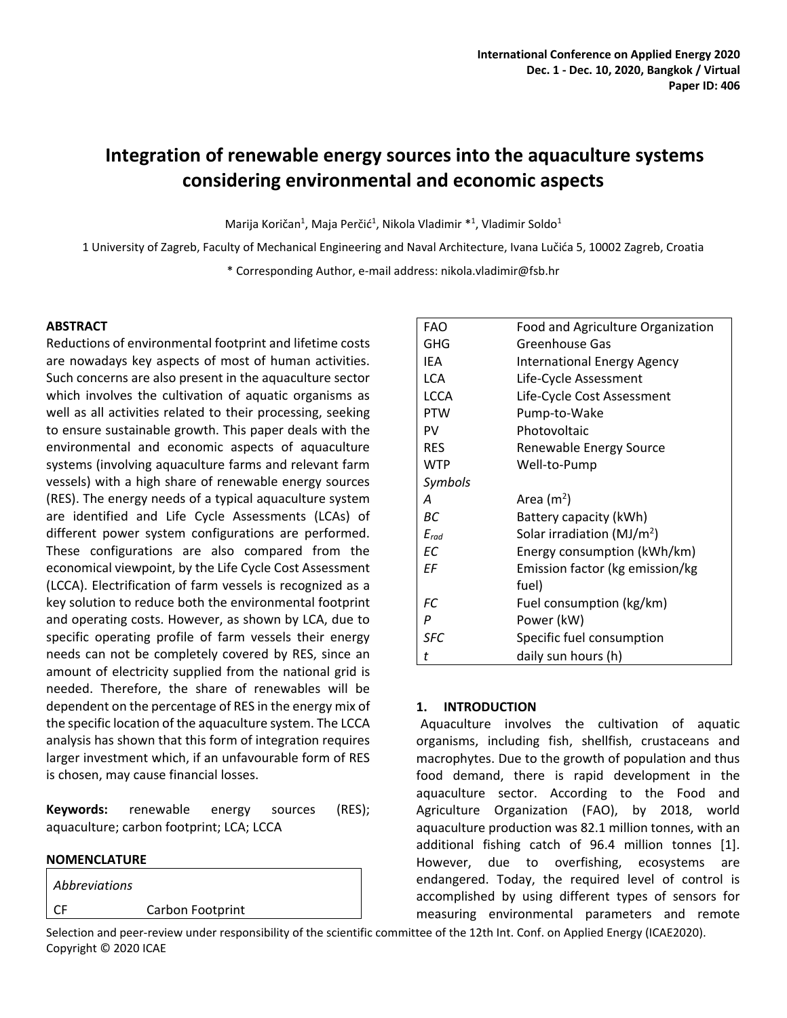# **Integration of renewable energy sources into the aquaculture systems considering environmental and economic aspects**

Marija Koričan<sup>1</sup>, Maja Perčić<sup>1</sup>, Nikola Vladimir \*<sup>1</sup>, Vladimir Soldo<sup>1</sup>

1 University of Zagreb, Faculty of Mechanical Engineering and Naval Architecture, Ivana Lučića 5, 10002 Zagreb, Croatia

\* Corresponding Author, e-mail address: nikola.vladimir@fsb.hr

#### **ABSTRACT**

Reductions of environmental footprint and lifetime costs are nowadays key aspects of most of human activities. Such concerns are also present in the aquaculture sector which involves the cultivation of aquatic organisms as well as all activities related to their processing, seeking to ensure sustainable growth. This paper deals with the environmental and economic aspects of aquaculture systems (involving aquaculture farms and relevant farm vessels) with a high share of renewable energy sources (RES). The energy needs of a typical aquaculture system are identified and Life Cycle Assessments (LCAs) of different power system configurations are performed. These configurations are also compared from the economical viewpoint, by the Life Cycle Cost Assessment (LCCA). Electrification of farm vessels is recognized as a key solution to reduce both the environmental footprint and operating costs. However, as shown by LCA, due to specific operating profile of farm vessels their energy needs can not be completely covered by RES, since an amount of electricity supplied from the national grid is needed. Therefore, the share of renewables will be dependent on the percentage of RES in the energy mix of the specific location of the aquaculture system. The LCCA analysis has shown that this form of integration requires larger investment which, if an unfavourable form of RES is chosen, may cause financial losses.

**Keywords:** renewable energy sources (RES); aquaculture; carbon footprint; LCA; LCCA

#### **NOMENCLATURE**

*Abbreviations* CF Carbon Footprint

| <b>FAO</b>  | Food and Agriculture Organization      |
|-------------|----------------------------------------|
| GHG         | Greenhouse Gas                         |
| IEA         | <b>International Energy Agency</b>     |
| LCA         | Life-Cycle Assessment                  |
| <b>LCCA</b> | Life-Cycle Cost Assessment             |
| <b>PTW</b>  | Pump-to-Wake                           |
| PV          | Photovoltaic                           |
| <b>RES</b>  | Renewable Energy Source                |
| <b>WTP</b>  | Well-to-Pump                           |
| Symbols     |                                        |
| A           | Area $(m2)$                            |
| ВC          | Battery capacity (kWh)                 |
| $E_{rad}$   | Solar irradiation (MJ/m <sup>2</sup> ) |
| EC          | Energy consumption (kWh/km)            |
| ΕF          | Emission factor (kg emission/kg        |
|             | fuel)                                  |
| FC          | Fuel consumption (kg/km)               |
| P           | Power (kW)                             |
| <b>SFC</b>  | Specific fuel consumption              |
| t           | daily sun hours (h)                    |

# **1. INTRODUCTION**

Aquaculture involves the cultivation of aquatic organisms, including fish, shellfish, crustaceans and macrophytes. Due to the growth of population and thus food demand, there is rapid development in the aquaculture sector. According to the Food and Agriculture Organization (FAO), by 2018, world aquaculture production was 82.1 million tonnes, with an additional fishing catch of 96.4 million tonnes [1]. However, due to overfishing, ecosystems are endangered. Today, the required level of control is accomplished by using different types of sensors for measuring environmental parameters and remote

Selection and peer-review under responsibility of the scientific committee of the 12th Int. Conf. on Applied Energy (ICAE2020). Copyright © 2020 ICAE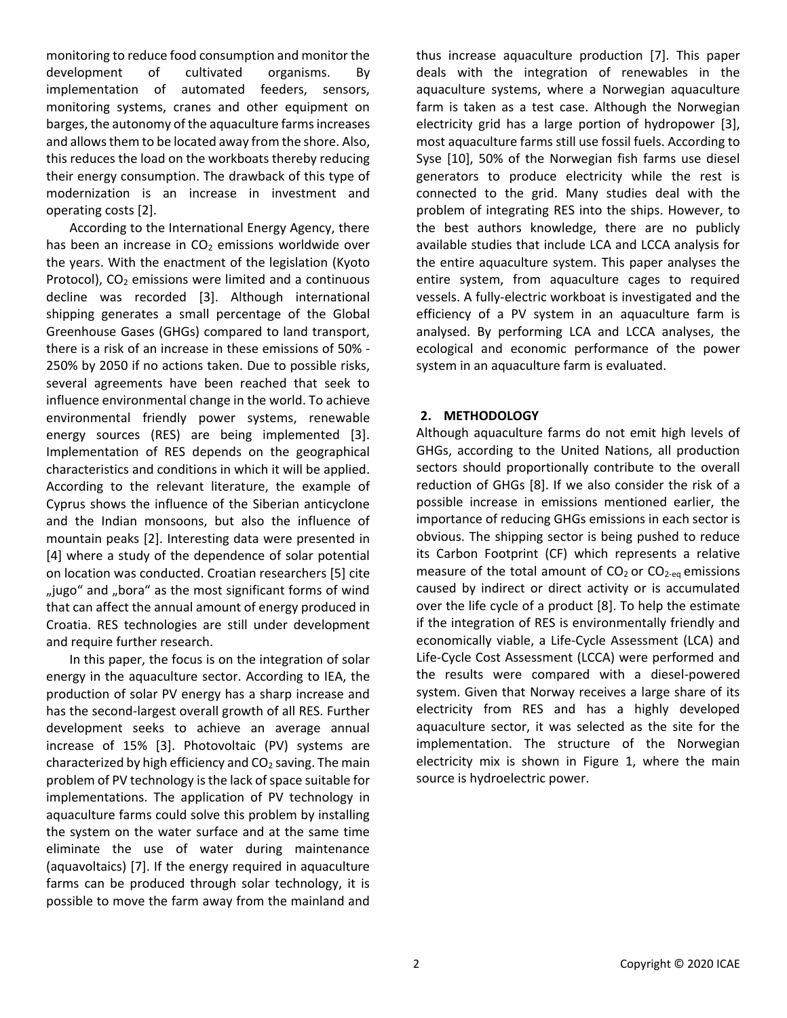monitoring to reduce food consumption and monitor the development of cultivated organisms. By implementation of automated feeders, sensors, monitoring systems, cranes and other equipment on barges, the autonomy of the aquaculture farms increases and allows them to be located away from the shore. Also, this reduces the load on the workboats thereby reducing their energy consumption. The drawback of this type of modernization is an increase in investment and operating costs [\[2\].](#page-5-0)

According to the International Energy Agency, there has been an increase in  $CO<sub>2</sub>$  emissions worldwide over the years. With the enactment of the legislation (Kyoto Protocol),  $CO<sub>2</sub>$  emissions were limited and a continuous decline was recorded [3]. Although international shipping generates a small percentage of the Global Greenhouse Gases (GHGs) compared to land transport, there is a risk of an increase in these emissions of 50% - 250% by 2050 if no actions taken. Due to possible risks, several agreements have been reached that seek to influence environmental change in the world. To achieve environmental friendly power systems, renewable energy sources (RES) are being implemented [3]. Implementation of RES depends on the geographical characteristics and conditions in which it will be applied. According to the relevant literature, the example of Cyprus shows the influence of the Siberian anticyclone and the Indian monsoons, but also the influence of mountain peaks [\[2\].](#page-5-0) Interesting data were presented in [\[4\]](#page-5-1) where a study of the dependence of solar potential on location was conducted. Croatian researchers [\[5\]](#page-5-2) cite "jugo" and "bora" as the most significant forms of wind that can affect the annual amount of energy produced in Croatia. RES technologies are still under development and require further research.

In this paper, the focus is on the integration of solar energy in the aquaculture sector. According to IEA, the production of solar PV energy has a sharp increase and has the second-largest overall growth of all RES. Further development seeks to achieve an average annual increase of 15% [3]. Photovoltaic (PV) systems are characterized by high efficiency and  $CO<sub>2</sub>$  saving. The main problem of PV technology is the lack of space suitable for implementations. The application of PV technology in aquaculture farms could solve this problem by installing the system on the water surface and at the same time eliminate the use of water during maintenance (aquavoltaics) [7]. If the energy required in aquaculture farms can be produced through solar technology, it is possible to move the farm away from the mainland and

thus increase aquaculture production [7]. This paper deals with the integration of renewables in the aquaculture systems, where a Norwegian aquaculture farm is taken as a test case. Although the Norwegian electricity grid has a large portion of hydropower [\[3\],](#page-5-3) most aquaculture farms still use fossil fuels. According to Syse [\[10\],](#page-5-4) 50% of the Norwegian fish farms use diesel generators to produce electricity while the rest is connected to the grid. Many studies deal with the problem of integrating RES into the ships. However, to the best authors knowledge, there are no publicly available studies that include LCA and LCCA analysis for the entire aquaculture system. This paper analyses the entire system, from aquaculture cages to required vessels. A fully-electric workboat is investigated and the efficiency of a PV system in an aquaculture farm is analysed. By performing LCA and LCCA analyses, the ecological and economic performance of the power system in an aquaculture farm is evaluated.

### **2. METHODOLOGY**

Although aquaculture farms do not emit high levels of GHGs, according to the United Nations, all production sectors should proportionally contribute to the overall reduction of GHGs [\[8\].](#page-5-5) If we also consider the risk of a possible increase in emissions mentioned earlier, the importance of reducing GHGs emissions in each sector is obvious. The shipping sector is being pushed to reduce its Carbon Footprint (CF) which represents a relative measure of the total amount of  $CO<sub>2</sub>$  or  $CO<sub>2-eq</sub>$  emissions caused by indirect or direct activity or is accumulated over the life cycle of a product [8]. To help the estimate if the integration of RES is environmentally friendly and economically viable, a Life-Cycle Assessment (LCA) and Life-Cycle Cost Assessment (LCCA) were performed and the results were compared with a diesel-powered system. Given that Norway receives a large share of its electricity from RES and has a highly developed aquaculture sector, it was selected as the site for the implementation. The structure of the Norwegian electricity mix is shown in Figure 1, where the main source is hydroelectric power.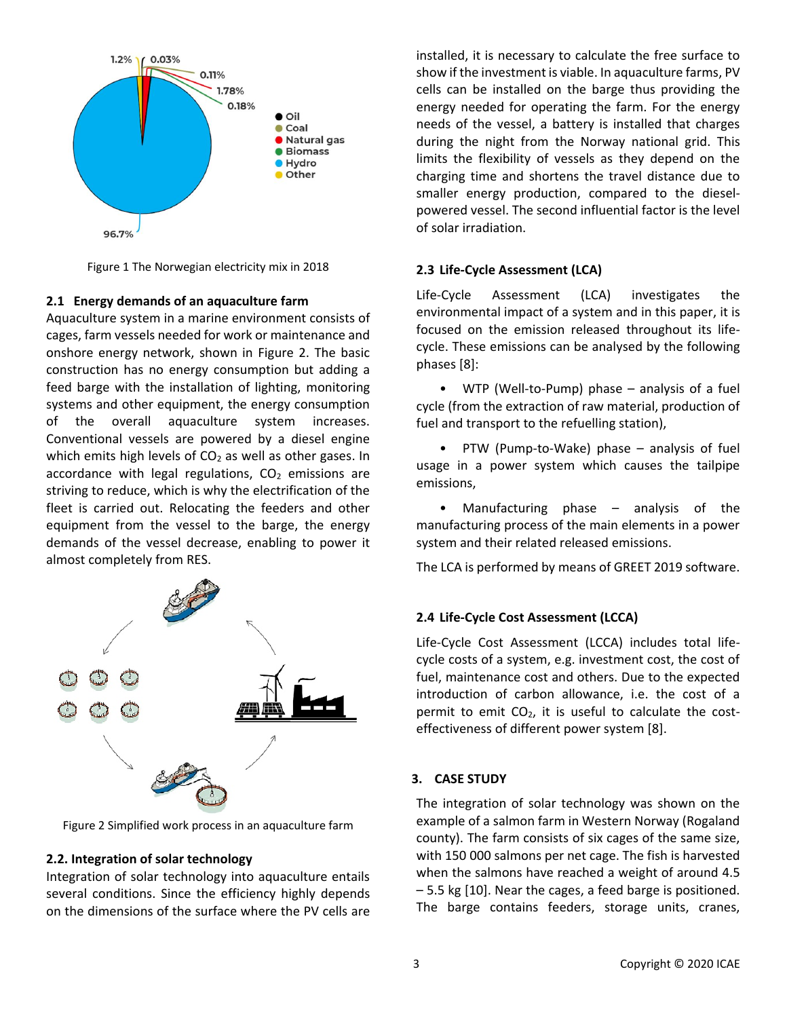

Figure 1 The Norwegian electricity mix in 2018

### **2.1 Energy demands of an aquaculture farm**

Aquaculture system in a marine environment consists of cages, farm vessels needed for work or maintenance and onshore energy network, shown in Figure 2. The basic construction has no energy consumption but adding a feed barge with the installation of lighting, monitoring systems and other equipment, the energy consumption of the overall aquaculture system increases. Conventional vessels are powered by a diesel engine which emits high levels of  $CO<sub>2</sub>$  as well as other gases. In accordance with legal regulations,  $CO<sub>2</sub>$  emissions are striving to reduce, which is why the electrification of the fleet is carried out. Relocating the feeders and other equipment from the vessel to the barge, the energy demands of the vessel decrease, enabling to power it almost completely from RES.



Figure 2 Simplified work process in an aquaculture farm

# **2.2. Integration of solar technology**

Integration of solar technology into aquaculture entails several conditions. Since the efficiency highly depends on the dimensions of the surface where the PV cells are installed, it is necessary to calculate the free surface to show if the investment is viable. In aquaculture farms, PV cells can be installed on the barge thus providing the energy needed for operating the farm. For the energy needs of the vessel, a battery is installed that charges during the night from the Norway national grid. This limits the flexibility of vessels as they depend on the charging time and shortens the travel distance due to smaller energy production, compared to the dieselpowered vessel. The second influential factor is the level of solar irradiation.

# **2.3 Life-Cycle Assessment (LCA)**

Life-Cycle Assessment (LCA) investigates the environmental impact of a system and in this paper, it is focused on the emission released throughout its lifecycle. These emissions can be analysed by the following phases [8]:

• WTP (Well-to-Pump) phase – analysis of a fuel cycle (from the extraction of raw material, production of fuel and transport to the refuelling station),

• PTW (Pump-to-Wake) phase – analysis of fuel usage in a power system which causes the tailpipe emissions,

Manufacturing phase  $-$  analysis of the manufacturing process of the main elements in a power system and their related released emissions.

The LCA is performed by means of GREET 2019 software.

# **2.4 Life-Cycle Cost Assessment (LCCA)**

Life-Cycle Cost Assessment (LCCA) includes total lifecycle costs of a system, e.g. investment cost, the cost of fuel, maintenance cost and others. Due to the expected introduction of carbon allowance, i.e. the cost of a permit to emit  $CO<sub>2</sub>$ , it is useful to calculate the costeffectiveness of different power system [8].

# **3. CASE STUDY**

The integration of solar technology was shown on the example of a salmon farm in Western Norway (Rogaland county). The farm consists of six cages of the same size, with 150 000 salmons per net cage. The fish is harvested when the salmons have reached a weight of around 4.5 – 5.5 kg [10]. Near the cages, a feed barge is positioned. The barge contains feeders, storage units, cranes,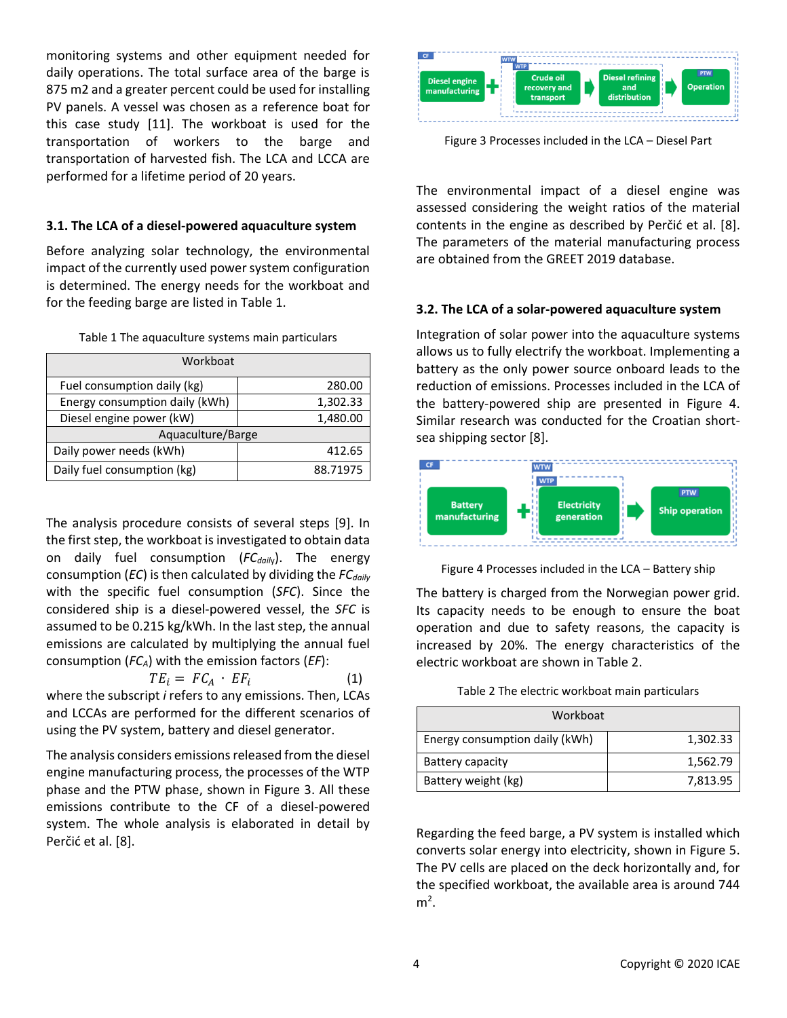monitoring systems and other equipment needed for daily operations. The total surface area of the barge is 875 m2 and a greater percent could be used for installing PV panels. A vessel was chosen as a reference boat for this case study [\[11\].](#page-5-6) The workboat is used for the transportation of workers to the barge and transportation of harvested fish. The LCA and LCCA are performed for a lifetime period of 20 years.

### **3.1. The LCA of a diesel-powered aquaculture system**

Before analyzing solar technology, the environmental impact of the currently used power system configuration is determined. The energy needs for the workboat and for the feeding barge are listed in Table 1.

|  | Table 1 The aquaculture systems main particulars |  |  |
|--|--------------------------------------------------|--|--|
|  |                                                  |  |  |

| Workboat                       |          |  |  |  |
|--------------------------------|----------|--|--|--|
| Fuel consumption daily (kg)    | 280.00   |  |  |  |
| Energy consumption daily (kWh) | 1,302.33 |  |  |  |
| Diesel engine power (kW)       | 1,480.00 |  |  |  |
| Aquaculture/Barge              |          |  |  |  |
| Daily power needs (kWh)        | 412.65   |  |  |  |
| Daily fuel consumption (kg)    | 88.71975 |  |  |  |

The analysis procedure consists of several steps [\[9\].](#page-5-7) In the first step, the workboat is investigated to obtain data on daily fuel consumption (*FCdail*y). The energy consumption (*EC*) is then calculated by dividing the *FCdaily*  with the specific fuel consumption (*SFC*). Since the considered ship is a diesel-powered vessel, the *SFC* is assumed to be 0.215 kg/kWh. In the last step, the annual emissions are calculated by multiplying the annual fuel consumption (*FCA*) with the emission factors (*EF*):

$$
TE_i = FC_A \cdot EF_i \tag{1}
$$

where the subscript *i* refers to any emissions. Then, LCAs and LCCAs are performed for the different scenarios of using the PV system, battery and diesel generator.

The analysis considers emissions released from the diesel engine manufacturing process, the processes of the WTP phase and the PTW phase, shown in Figure 3. All these emissions contribute to the CF of a diesel-powered system. The whole analysis is elaborated in detail by Perčić et al. [8].



Figure 3 Processes included in the LCA – Diesel Part

The environmental impact of a diesel engine was assessed considering the weight ratios of the material contents in the engine as described by Perčić et al. [8]. The parameters of the material manufacturing process are obtained from the GREET 2019 database.

### **3.2. The LCA of a solar-powered aquaculture system**

Integration of solar power into the aquaculture systems allows us to fully electrify the workboat. Implementing a battery as the only power source onboard leads to the reduction of emissions. Processes included in the LCA of the battery-powered ship are presented in Figure 4. Similar research was conducted for the Croatian shortsea shipping sector [8].



Figure 4 Processes included in the LCA – Battery ship

The battery is charged from the Norwegian power grid. Its capacity needs to be enough to ensure the boat operation and due to safety reasons, the capacity is increased by 20%. The energy characteristics of the electric workboat are shown in Table 2.

Table 2 The electric workboat main particulars

| Workboat                       |          |
|--------------------------------|----------|
| Energy consumption daily (kWh) | 1,302.33 |
| Battery capacity               | 1,562.79 |
| Battery weight (kg)            | 7,813.95 |

Regarding the feed barge, a PV system is installed which converts solar energy into electricity, shown in Figure 5. The PV cells are placed on the deck horizontally and, for the specified workboat, the available area is around 744  $m<sup>2</sup>$ .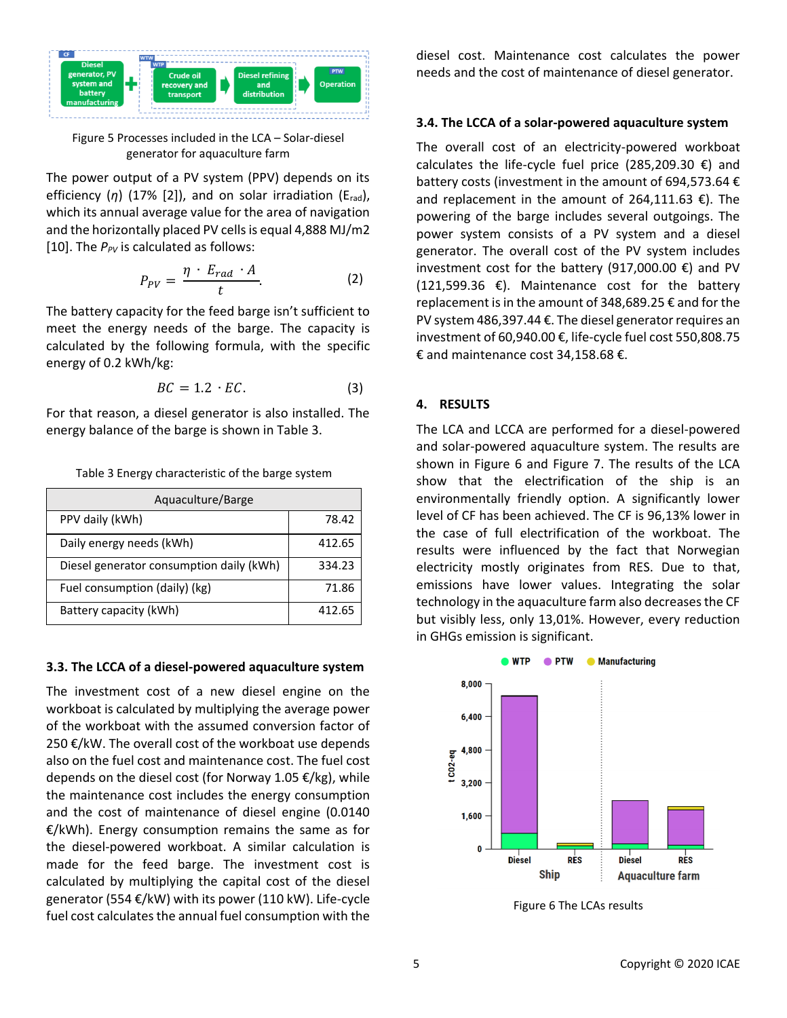

Figure 5 Processes included in the LCA – Solar-diesel generator for aquaculture farm

The power output of a PV system (PPV) depends on its efficiency (*η*) (17% [2]), and on solar irradiation (Erad), which its annual average value for the area of navigation and the horizontally placed PV cells is equal 4,888 MJ/m2 [10]. The  $P_{PV}$  is calculated as follows:

$$
P_{PV} = \frac{\eta \cdot E_{rad} \cdot A}{t}.
$$
 (2)

The battery capacity for the feed barge isn't sufficient to meet the energy needs of the barge. The capacity is calculated by the following formula, with the specific energy of 0.2 kWh/kg:

$$
BC = 1.2 \cdot EC.
$$
 (3)

For that reason, a diesel generator is also installed. The energy balance of the barge is shown in Table 3.

| Aquaculture/Barge                        |        |  |  |
|------------------------------------------|--------|--|--|
| PPV daily (kWh)                          | 78.42  |  |  |
| Daily energy needs (kWh)                 | 412.65 |  |  |
| Diesel generator consumption daily (kWh) | 334.23 |  |  |
| Fuel consumption (daily) (kg)            | 71.86  |  |  |
| Battery capacity (kWh)                   | 412.65 |  |  |

Table 3 Energy characteristic of the barge system

### **3.3. The LCCA of a diesel-powered aquaculture system**

The investment cost of a new diesel engine on the workboat is calculated by multiplying the average power of the workboat with the assumed conversion factor of 250 €/kW. The overall cost of the workboat use depends also on the fuel cost and maintenance cost. The fuel cost depends on the diesel cost (for Norway 1.05 €/kg), while the maintenance cost includes the energy consumption and the cost of maintenance of diesel engine (0.0140 €/kWh). Energy consumption remains the same as for the diesel-powered workboat. A similar calculation is made for the feed barge. The investment cost is calculated by multiplying the capital cost of the diesel generator (554 €/kW) with its power (110 kW). Life-cycle fuel cost calculates the annual fuel consumption with the

diesel cost. Maintenance cost calculates the power needs and the cost of maintenance of diesel generator.

### **3.4. The LCCA of a solar-powered aquaculture system**

The overall cost of an electricity-powered workboat calculates the life-cycle fuel price (285,209.30  $\epsilon$ ) and battery costs (investment in the amount of 694,573.64 € and replacement in the amount of 264,111.63  $\epsilon$ ). The powering of the barge includes several outgoings. The power system consists of a PV system and a diesel generator. The overall cost of the PV system includes investment cost for the battery (917,000.00 €) and PV  $(121,599.36 \text{ €}).$  Maintenance cost for the battery replacement is in the amount of 348,689.25 € and for the PV system 486,397.44 €. The diesel generator requires an investment of 60,940.00 €, life-cycle fuel cost 550,808.75 € and maintenance cost 34,158.68 €.

### **4. RESULTS**

The LCA and LCCA are performed for a diesel-powered and solar-powered aquaculture system. The results are shown in Figure 6 and Figure 7. The results of the LCA show that the electrification of the ship is an environmentally friendly option. A significantly lower level of CF has been achieved. The CF is 96,13% lower in the case of full electrification of the workboat. The results were influenced by the fact that Norwegian electricity mostly originates from RES. Due to that, emissions have lower values. Integrating the solar technology in the aquaculture farm also decreases the CF but visibly less, only 13,01%. However, every reduction in GHGs emission is significant.



Figure 6 The LCAs results